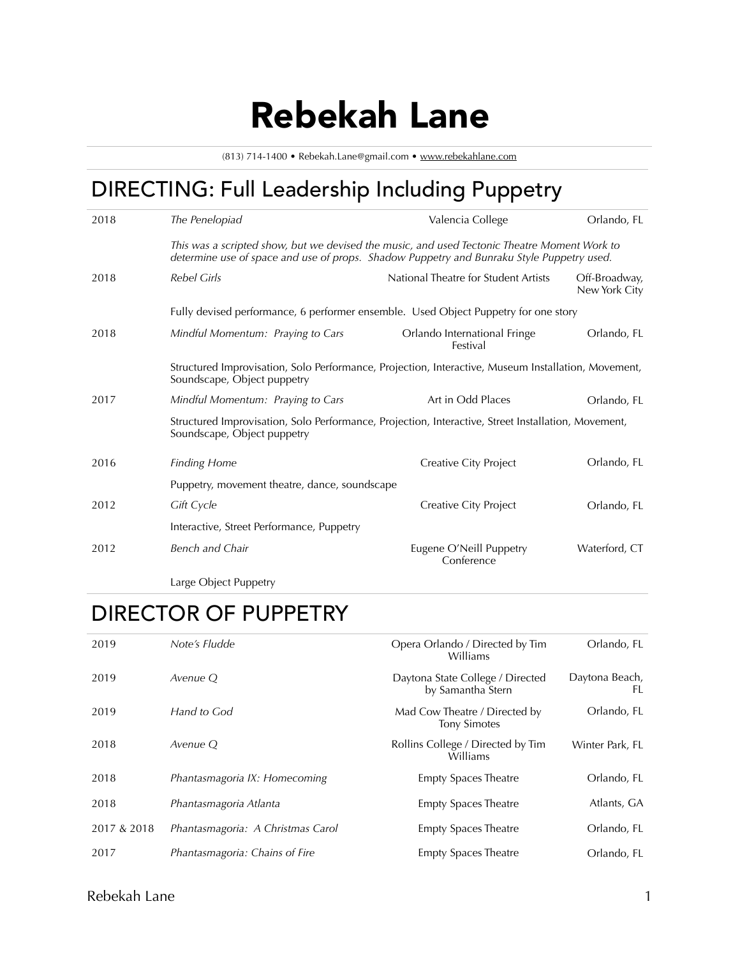# Rebekah Lane

(813) 714-1400 • Rebekah.Lane@gmail.com • [www.rebekahlane.com](http://www.rebekahlane.com)

# DIRECTING: Full Leadership Including Puppetry

| 2018 | The Penelopiad                                                                                                                                                                            | Valencia College                         | Orlando, FL                    |  |
|------|-------------------------------------------------------------------------------------------------------------------------------------------------------------------------------------------|------------------------------------------|--------------------------------|--|
|      | This was a scripted show, but we devised the music, and used Tectonic Theatre Moment Work to<br>determine use of space and use of props. Shadow Puppetry and Bunraku Style Puppetry used. |                                          |                                |  |
| 2018 | <b>Rebel Girls</b>                                                                                                                                                                        | National Theatre for Student Artists     | Off-Broadway,<br>New York City |  |
|      | Fully devised performance, 6 performer ensemble. Used Object Puppetry for one story                                                                                                       |                                          |                                |  |
| 2018 | Mindful Momentum: Praying to Cars                                                                                                                                                         | Orlando International Fringe<br>Festival | Orlando, FL                    |  |
|      | Structured Improvisation, Solo Performance, Projection, Interactive, Museum Installation, Movement,<br>Soundscape, Object puppetry                                                        |                                          |                                |  |
| 2017 | Mindful Momentum: Praying to Cars                                                                                                                                                         | Art in Odd Places                        | Orlando, FL                    |  |
|      | Structured Improvisation, Solo Performance, Projection, Interactive, Street Installation, Movement,<br>Soundscape, Object puppetry                                                        |                                          |                                |  |
| 2016 | <b>Finding Home</b>                                                                                                                                                                       | Creative City Project                    | Orlando, FL                    |  |
|      | Puppetry, movement theatre, dance, soundscape                                                                                                                                             |                                          |                                |  |
| 2012 | Gift Cycle                                                                                                                                                                                | Creative City Project                    | Orlando, FL                    |  |
|      | Interactive, Street Performance, Puppetry                                                                                                                                                 |                                          |                                |  |
| 2012 | <b>Bench and Chair</b>                                                                                                                                                                    | Eugene O'Neill Puppetry<br>Conference    | Waterford, CT                  |  |

Large Object Puppetry

## DIRECTOR OF PUPPETRY

| 2019        | Note's Fludde                     | Opera Orlando / Directed by Tim<br>Williams           | Orlando, FL          |
|-------------|-----------------------------------|-------------------------------------------------------|----------------------|
| 2019        | Avenue O                          | Daytona State College / Directed<br>by Samantha Stern | Daytona Beach,<br>FL |
| 2019        | Hand to God                       | Mad Cow Theatre / Directed by<br><b>Tony Simotes</b>  | Orlando, FL          |
| 2018        | Avenue O                          | Rollins College / Directed by Tim<br>Williams         | Winter Park, FL      |
| 2018        | Phantasmagoria IX: Homecoming     | <b>Empty Spaces Theatre</b>                           | Orlando, FL          |
| 2018        | Phantasmagoria Atlanta            | <b>Empty Spaces Theatre</b>                           | Atlants, GA          |
| 2017 & 2018 | Phantasmagoria: A Christmas Carol | <b>Empty Spaces Theatre</b>                           | Orlando, FL          |
| 2017        | Phantasmagoria: Chains of Fire    | <b>Empty Spaces Theatre</b>                           | Orlando, FL          |